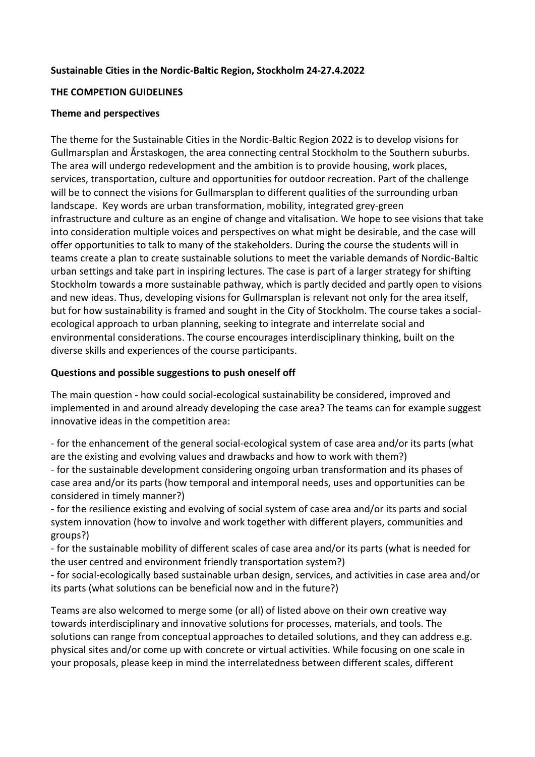### **Sustainable Cities in the Nordic-Baltic Region, Stockholm 24-27.4.2022**

### **THE COMPETION GUIDELINES**

#### **Theme and perspectives**

The theme for the Sustainable Cities in the Nordic-Baltic Region 2022 is to develop visions for Gullmarsplan and Årstaskogen, the area connecting central Stockholm to the Southern suburbs. The area will undergo redevelopment and the ambition is to provide housing, work places, services, transportation, culture and opportunities for outdoor recreation. Part of the challenge will be to connect the visions for Gullmarsplan to different qualities of the surrounding urban landscape. Key words are urban transformation, mobility, integrated grey-green infrastructure and culture as an engine of change and vitalisation. We hope to see visions that take into consideration multiple voices and perspectives on what might be desirable, and the case will offer opportunities to talk to many of the stakeholders. During the course the students will in teams create a plan to create sustainable solutions to meet the variable demands of Nordic-Baltic urban settings and take part in inspiring lectures. The case is part of a larger strategy for shifting Stockholm towards a more sustainable pathway, which is partly decided and partly open to visions and new ideas. Thus, developing visions for Gullmarsplan is relevant not only for the area itself, but for how sustainability is framed and sought in the City of Stockholm. The course takes a socialecological approach to urban planning, seeking to integrate and interrelate social and environmental considerations. The course encourages interdisciplinary thinking, built on the diverse skills and experiences of the course participants.

### **Questions and possible suggestions to push oneself off**

The main question - how could social-ecological sustainability be considered, improved and implemented in and around already developing the case area? The teams can for example suggest innovative ideas in the competition area:

- for the enhancement of the general social-ecological system of case area and/or its parts (what are the existing and evolving values and drawbacks and how to work with them?)

- for the sustainable development considering ongoing urban transformation and its phases of case area and/or its parts (how temporal and intemporal needs, uses and opportunities can be considered in timely manner?)

- for the resilience existing and evolving of social system of case area and/or its parts and social system innovation (how to involve and work together with different players, communities and groups?)

- for the sustainable mobility of different scales of case area and/or its parts (what is needed for the user centred and environment friendly transportation system?)

- for social-ecologically based sustainable urban design, services, and activities in case area and/or its parts (what solutions can be beneficial now and in the future?)

Teams are also welcomed to merge some (or all) of listed above on their own creative way towards interdisciplinary and innovative solutions for processes, materials, and tools. The solutions can range from conceptual approaches to detailed solutions, and they can address e.g. physical sites and/or come up with concrete or virtual activities. While focusing on one scale in your proposals, please keep in mind the interrelatedness between different scales, different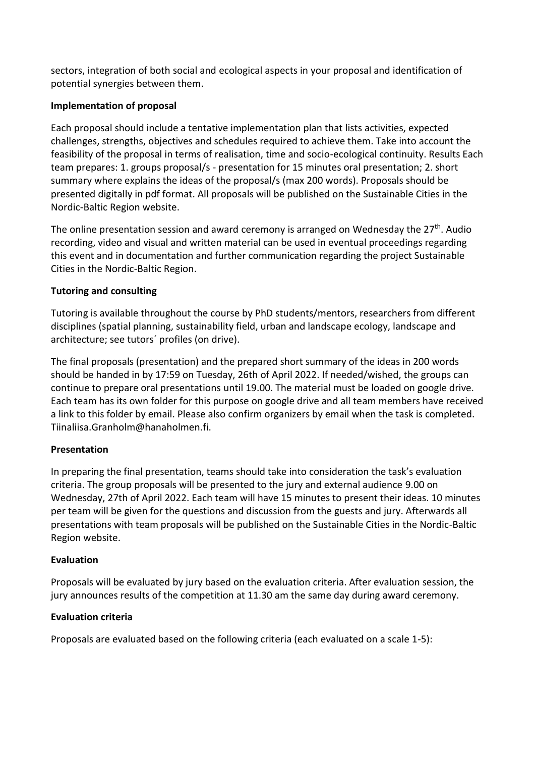sectors, integration of both social and ecological aspects in your proposal and identification of potential synergies between them.

## **Implementation of proposal**

Each proposal should include a tentative implementation plan that lists activities, expected challenges, strengths, objectives and schedules required to achieve them. Take into account the feasibility of the proposal in terms of realisation, time and socio-ecological continuity. Results Each team prepares: 1. groups proposal/s - presentation for 15 minutes oral presentation; 2. short summary where explains the ideas of the proposal/s (max 200 words). Proposals should be presented digitally in pdf format. All proposals will be published on the Sustainable Cities in the Nordic-Baltic Region website.

The online presentation session and award ceremony is arranged on Wednesday the 27<sup>th</sup>. Audio recording, video and visual and written material can be used in eventual proceedings regarding this event and in documentation and further communication regarding the project Sustainable Cities in the Nordic-Baltic Region.

## **Tutoring and consulting**

Tutoring is available throughout the course by PhD students/mentors, researchers from different disciplines (spatial planning, sustainability field, urban and landscape ecology, landscape and architecture; see tutors´ profiles (on drive).

The final proposals (presentation) and the prepared short summary of the ideas in 200 words should be handed in by 17:59 on Tuesday, 26th of April 2022. If needed/wished, the groups can continue to prepare oral presentations until 19.00. The material must be loaded on google drive. Each team has its own folder for this purpose on google drive and all team members have received a link to this folder by email. Please also confirm organizers by email when the task is completed. Tiinaliisa.Granholm@hanaholmen.fi.

# **Presentation**

In preparing the final presentation, teams should take into consideration the task's evaluation criteria. The group proposals will be presented to the jury and external audience 9.00 on Wednesday, 27th of April 2022. Each team will have 15 minutes to present their ideas. 10 minutes per team will be given for the questions and discussion from the guests and jury. Afterwards all presentations with team proposals will be published on the Sustainable Cities in the Nordic-Baltic Region website.

## **Evaluation**

Proposals will be evaluated by jury based on the evaluation criteria. After evaluation session, the jury announces results of the competition at 11.30 am the same day during award ceremony.

## **Evaluation criteria**

Proposals are evaluated based on the following criteria (each evaluated on a scale 1-5):